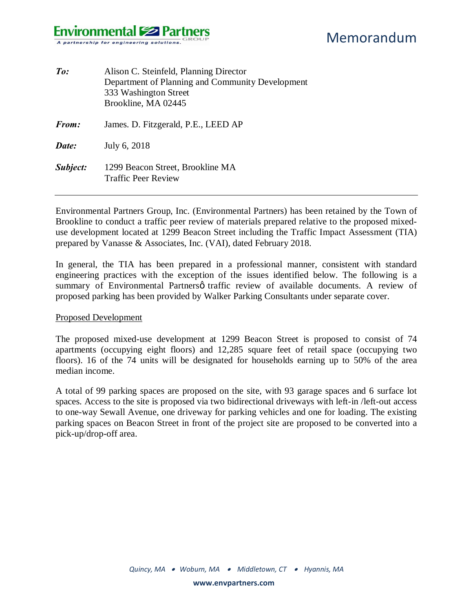## **Environmental Solutions** A partnership for engineering solutions.

| To:          | Alison C. Steinfeld, Planning Director<br>Department of Planning and Community Development<br>333 Washington Street<br>Brookline, MA 02445 |
|--------------|--------------------------------------------------------------------------------------------------------------------------------------------|
| <b>From:</b> | James. D. Fitzgerald, P.E., LEED AP                                                                                                        |
| Date:        | July 6, 2018                                                                                                                               |
| Subject:     | 1299 Beacon Street, Brookline MA<br><b>Traffic Peer Review</b>                                                                             |

Environmental Partners Group, Inc. (Environmental Partners) has been retained by the Town of Brookline to conduct a traffic peer review of materials prepared relative to the proposed mixeduse development located at 1299 Beacon Street including the Traffic Impact Assessment (TIA) prepared by Vanasse & Associates, Inc. (VAI), dated February 2018.

In general, the TIA has been prepared in a professional manner, consistent with standard engineering practices with the exception of the issues identified below. The following is a summary of Environmental Partnersø traffic review of available documents. A review of proposed parking has been provided by Walker Parking Consultants under separate cover.

#### Proposed Development

The proposed mixed-use development at 1299 Beacon Street is proposed to consist of 74 apartments (occupying eight floors) and 12,285 square feet of retail space (occupying two floors). 16 of the 74 units will be designated for households earning up to 50% of the area median income.

A total of 99 parking spaces are proposed on the site, with 93 garage spaces and 6 surface lot spaces. Access to the site is proposed via two bidirectional driveways with left-in /left-out access to one-way Sewall Avenue, one driveway for parking vehicles and one for loading. The existing parking spaces on Beacon Street in front of the project site are proposed to be converted into a pick-up/drop-off area.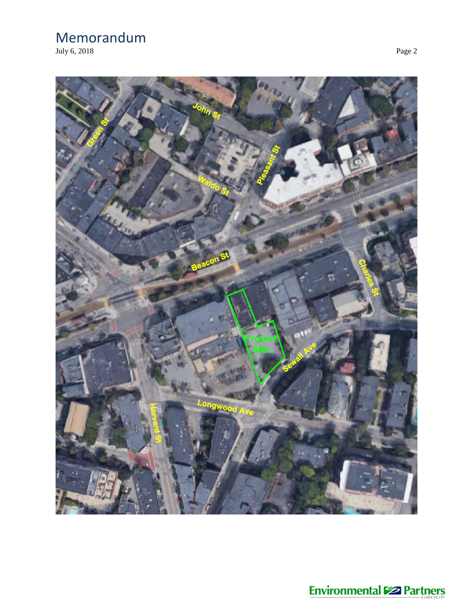July 6, 201



**Environmental Solutions**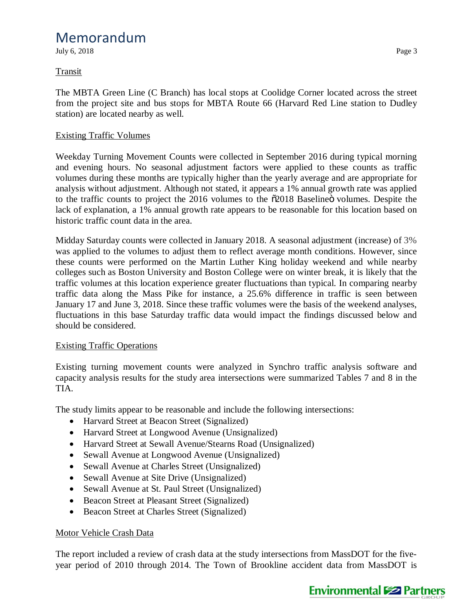July 6, 2018 Page 3

## **Transit**

The MBTA Green Line (C Branch) has local stops at Coolidge Corner located across the street from the project site and bus stops for MBTA Route 66 (Harvard Red Line station to Dudley station) are located nearby as well.

## Existing Traffic Volumes

Weekday Turning Movement Counts were collected in September 2016 during typical morning and evening hours. No seasonal adjustment factors were applied to these counts as traffic volumes during these months are typically higher than the yearly average and are appropriate for analysis without adjustment. Although not stated, it appears a 1% annual growth rate was applied to the traffic counts to project the 2016 volumes to the  $\ddot{\text{o}}2018$  Baseline volumes. Despite the lack of explanation, a 1% annual growth rate appears to be reasonable for this location based on historic traffic count data in the area.

Midday Saturday counts were collected in January 2018. A seasonal adjustment (increase) of 3% was applied to the volumes to adjust them to reflect average month conditions. However, since these counts were performed on the Martin Luther King holiday weekend and while nearby colleges such as Boston University and Boston College were on winter break, it is likely that the traffic volumes at this location experience greater fluctuations than typical. In comparing nearby traffic data along the Mass Pike for instance, a 25.6% difference in traffic is seen between January 17 and June 3, 2018. Since these traffic volumes were the basis of the weekend analyses, fluctuations in this base Saturday traffic data would impact the findings discussed below and should be considered.

### Existing Traffic Operations

Existing turning movement counts were analyzed in Synchro traffic analysis software and capacity analysis results for the study area intersections were summarized Tables 7 and 8 in the TIA.

The study limits appear to be reasonable and include the following intersections:

- · Harvard Street at Beacon Street (Signalized)
- Harvard Street at Longwood Avenue (Unsignalized)
- · Harvard Street at Sewall Avenue/Stearns Road (Unsignalized)
- Sewall Avenue at Longwood Avenue (Unsignalized)
- Sewall Avenue at Charles Street (Unsignalized)
- Sewall Avenue at Site Drive (Unsignalized)
- Sewall Avenue at St. Paul Street (Unsignalized)
- Beacon Street at Pleasant Street (Signalized)
- Beacon Street at Charles Street (Signalized)

## Motor Vehicle Crash Data

The report included a review of crash data at the study intersections from MassDOT for the fiveyear period of 2010 through 2014. The Town of Brookline accident data from MassDOT is

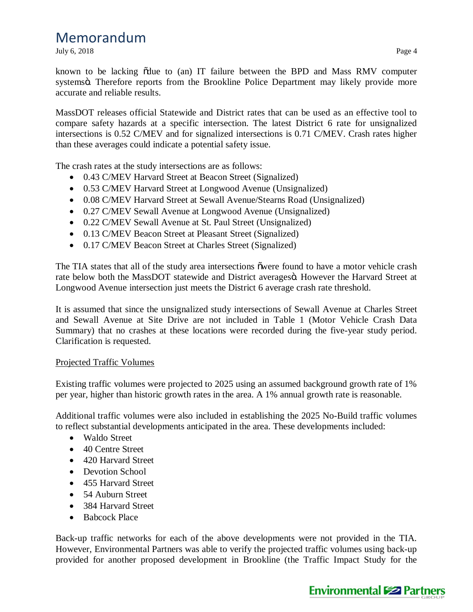July 6, 2018 Page 4

known to be lacking of due to (an) IT failure between the BPD and Mass RMV computer systemsö. Therefore reports from the Brookline Police Department may likely provide more accurate and reliable results.

MassDOT releases official Statewide and District rates that can be used as an effective tool to compare safety hazards at a specific intersection. The latest District 6 rate for unsignalized intersections is 0.52 C/MEV and for signalized intersections is 0.71 C/MEV. Crash rates higher than these averages could indicate a potential safety issue.

The crash rates at the study intersections are as follows:

- · 0.43 C/MEV Harvard Street at Beacon Street (Signalized)
- · 0.53 C/MEV Harvard Street at Longwood Avenue (Unsignalized)
- · 0.08 C/MEV Harvard Street at Sewall Avenue/Stearns Road (Unsignalized)
- · 0.27 C/MEV Sewall Avenue at Longwood Avenue (Unsignalized)
- · 0.22 C/MEV Sewall Avenue at St. Paul Street (Unsignalized)
- · 0.13 C/MEV Beacon Street at Pleasant Street (Signalized)
- · 0.17 C/MEV Beacon Street at Charles Street (Signalized)

The TIA states that all of the study area intersections owere found to have a motor vehicle crash rate below both the MassDOT statewide and District averages o. However the Harvard Street at Longwood Avenue intersection just meets the District 6 average crash rate threshold.

It is assumed that since the unsignalized study intersections of Sewall Avenue at Charles Street and Sewall Avenue at Site Drive are not included in Table 1 (Motor Vehicle Crash Data Summary) that no crashes at these locations were recorded during the five-year study period. Clarification is requested.

### Projected Traffic Volumes

Existing traffic volumes were projected to 2025 using an assumed background growth rate of 1% per year, higher than historic growth rates in the area. A 1% annual growth rate is reasonable.

Additional traffic volumes were also included in establishing the 2025 No-Build traffic volumes to reflect substantial developments anticipated in the area. These developments included:

- · Waldo Street
- 40 Centre Street
- 420 Harvard Street
- Devotion School
- 455 Harvard Street
- 54 Auburn Street
- 384 Harvard Street
- Babcock Place

Back-up traffic networks for each of the above developments were not provided in the TIA. However, Environmental Partners was able to verify the projected traffic volumes using back-up provided for another proposed development in Brookline (the Traffic Impact Study for the

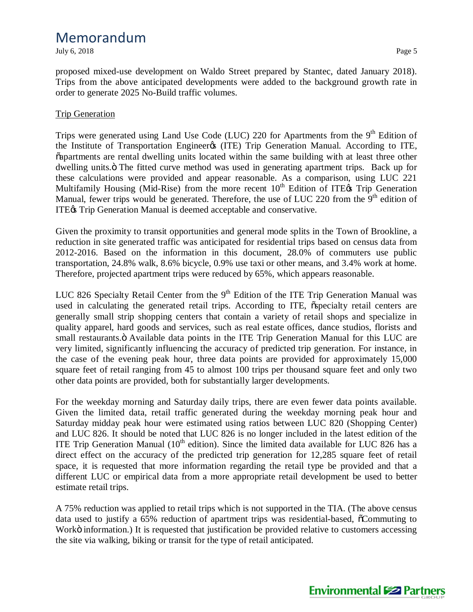July 6, 2018 Page 5

proposed mixed-use development on Waldo Street prepared by Stantec, dated January 2018). Trips from the above anticipated developments were added to the background growth rate in order to generate 2025 No-Build traffic volumes.

#### Trip Generation

Trips were generated using Land Use Code (LUC) 220 for Apartments from the 9<sup>th</sup> Edition of the Institute of Transportation Engineer (ITE) Trip Generation Manual. According to ITE, "apartments are rental dwelling units located within the same building with at least three other dwelling units. The fitted curve method was used in generating apartment trips. Back up for these calculations were provided and appear reasonable. As a comparison, using LUC 221 Multifamily Housing (Mid-Rise) from the more recent  $10<sup>th</sup>$  Edition of ITE $\alpha$  Trip Generation Manual, fewer trips would be generated. Therefore, the use of LUC 220 from the  $9<sup>th</sup>$  edition of ITE $\alpha$  Trip Generation Manual is deemed acceptable and conservative.

Given the proximity to transit opportunities and general mode splits in the Town of Brookline, a reduction in site generated traffic was anticipated for residential trips based on census data from 2012-2016. Based on the information in this document, 28.0% of commuters use public transportation, 24.8% walk, 8.6% bicycle, 0.9% use taxi or other means, and 3.4% work at home. Therefore, projected apartment trips were reduced by 65%, which appears reasonable.

LUC 826 Specialty Retail Center from the  $9<sup>th</sup>$  Edition of the ITE Trip Generation Manual was used in calculating the generated retail trips. According to ITE,  $\tilde{o}$  specialty retail centers are generally small strip shopping centers that contain a variety of retail shops and specialize in quality apparel, hard goods and services, such as real estate offices, dance studios, florists and small restaurants. $\ddot{o}$  Available data points in the ITE Trip Generation Manual for this LUC are very limited, significantly influencing the accuracy of predicted trip generation. For instance, in the case of the evening peak hour, three data points are provided for approximately 15,000 square feet of retail ranging from 45 to almost 100 trips per thousand square feet and only two other data points are provided, both for substantially larger developments.

For the weekday morning and Saturday daily trips, there are even fewer data points available. Given the limited data, retail traffic generated during the weekday morning peak hour and Saturday midday peak hour were estimated using ratios between LUC 820 (Shopping Center) and LUC 826. It should be noted that LUC 826 is no longer included in the latest edition of the ITE Trip Generation Manual  $(10<sup>th</sup>$  edition). Since the limited data available for LUC 826 has a direct effect on the accuracy of the predicted trip generation for 12,285 square feet of retail space, it is requested that more information regarding the retail type be provided and that a different LUC or empirical data from a more appropriate retail development be used to better estimate retail trips.

A 75% reduction was applied to retail trips which is not supported in the TIA. (The above census data used to justify a 65% reduction of apartment trips was residential-based,  $\tilde{\alpha}$ Commuting to Workö information.) It is requested that justification be provided relative to customers accessing the site via walking, biking or transit for the type of retail anticipated.

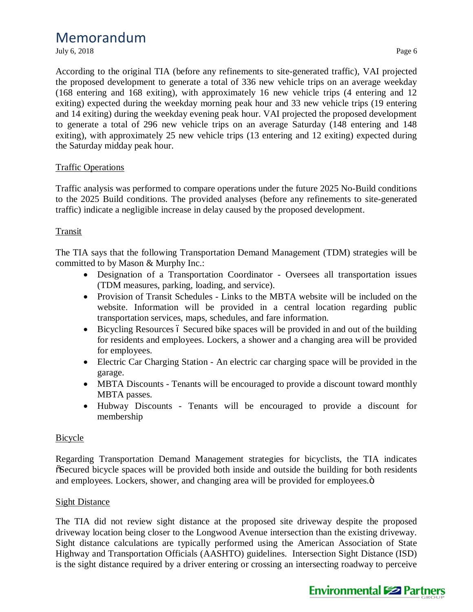July 6, 2018 Page 6

According to the original TIA (before any refinements to site-generated traffic), VAI projected the proposed development to generate a total of 336 new vehicle trips on an average weekday (168 entering and 168 exiting), with approximately 16 new vehicle trips (4 entering and 12 exiting) expected during the weekday morning peak hour and 33 new vehicle trips (19 entering and 14 exiting) during the weekday evening peak hour. VAI projected the proposed development to generate a total of 296 new vehicle trips on an average Saturday (148 entering and 148 exiting), with approximately 25 new vehicle trips (13 entering and 12 exiting) expected during the Saturday midday peak hour.

## Traffic Operations

Traffic analysis was performed to compare operations under the future 2025 No-Build conditions to the 2025 Build conditions. The provided analyses (before any refinements to site-generated traffic) indicate a negligible increase in delay caused by the proposed development.

## **Transit**

The TIA says that the following Transportation Demand Management (TDM) strategies will be committed to by Mason & Murphy Inc.:

- · Designation of a Transportation Coordinator Oversees all transportation issues (TDM measures, parking, loading, and service).
- · Provision of Transit Schedules Links to the MBTA website will be included on the website. Information will be provided in a central location regarding public transportation services, maps, schedules, and fare information.
- $\bullet$  Bicycling Resources 6 Secured bike spaces will be provided in and out of the building for residents and employees. Lockers, a shower and a changing area will be provided for employees.
- Electric Car Charging Station An electric car charging space will be provided in the garage.
- MBTA Discounts Tenants will be encouraged to provide a discount toward monthly MBTA passes.
- · Hubway Discounts Tenants will be encouraged to provide a discount for membership

## Bicycle

Regarding Transportation Demand Management strategies for bicyclists, the TIA indicates "Secured bicycle spaces will be provided both inside and outside the building for both residents and employees. Lockers, shower, and changing area will be provided for employees. $\ddot{o}$ 

## Sight Distance

The TIA did not review sight distance at the proposed site driveway despite the proposed driveway location being closer to the Longwood Avenue intersection than the existing driveway. Sight distance calculations are typically performed using the American Association of State Highway and Transportation Officials (AASHTO) guidelines. Intersection Sight Distance (ISD) is the sight distance required by a driver entering or crossing an intersecting roadway to perceive

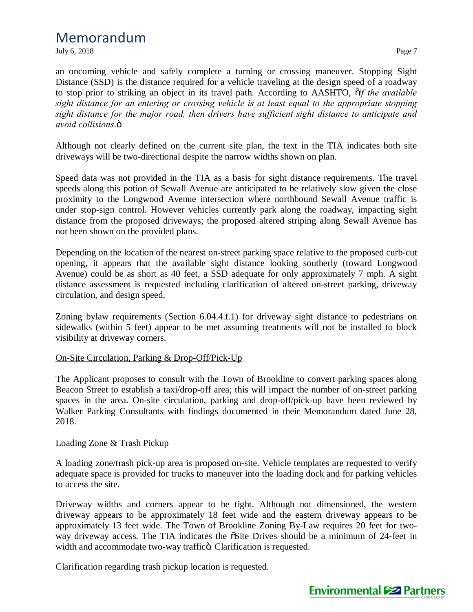July 6, 2018 **Page 7** 

an oncoming vehicle and safely complete a turning or crossing maneuver. Stopping Sight Distance (SSD) is the distance required for a vehicle traveling at the design speed of a roadway to stop prior to striking an object in its travel path. According to AASHTO, "*if the available sight distance for an entering or crossing vehicle is at least equal to the appropriate stopping sight distance for the major road, then drivers have sufficient sight distance to anticipate and avoid collisions.* $\ddot{o}$ 

Although not clearly defined on the current site plan, the text in the TIA indicates both site driveways will be two-directional despite the narrow widths shown on plan.

Speed data was not provided in the TIA as a basis for sight distance requirements. The travel speeds along this potion of Sewall Avenue are anticipated to be relatively slow given the close proximity to the Longwood Avenue intersection where northbound Sewall Avenue traffic is under stop-sign control. However vehicles currently park along the roadway, impacting sight distance from the proposed driveways; the proposed altered striping along Sewall Avenue has not been shown on the provided plans.

Depending on the location of the nearest on-street parking space relative to the proposed curb-cut opening, it appears that the available sight distance looking southerly (toward Longwood Avenue) could be as short as 40 feet, a SSD adequate for only approximately 7 mph. A sight distance assessment is requested including clarification of altered on-street parking, driveway circulation, and design speed.

Zoning bylaw requirements (Section 6.04.4.f.1) for driveway sight distance to pedestrians on sidewalks (within 5 feet) appear to be met assuming treatments will not be installed to block visibility at driveway corners.

### On-Site Circulation, Parking & Drop-Off/Pick-Up

The Applicant proposes to consult with the Town of Brookline to convert parking spaces along Beacon Street to establish a taxi/drop-off area; this will impact the number of on-street parking spaces in the area. On-site circulation, parking and drop-off/pick-up have been reviewed by Walker Parking Consultants with findings documented in their Memorandum dated June 28, 2018.

#### Loading Zone & Trash Pickup

A loading zone/trash pick-up area is proposed on-site. Vehicle templates are requested to verify adequate space is provided for trucks to maneuver into the loading dock and for parking vehicles to access the site.

Driveway widths and corners appear to be tight. Although not dimensioned, the western driveway appears to be approximately 18 feet wide and the eastern driveway appears to be approximately 13 feet wide. The Town of Brookline Zoning By-Law requires 20 feet for twoway driveway access. The TIA indicates the  $\delta$ Site Drives should be a minimum of 24-feet in width and accommodate two-way traffico. Clarification is requested.

Clarification regarding trash pickup location is requested.